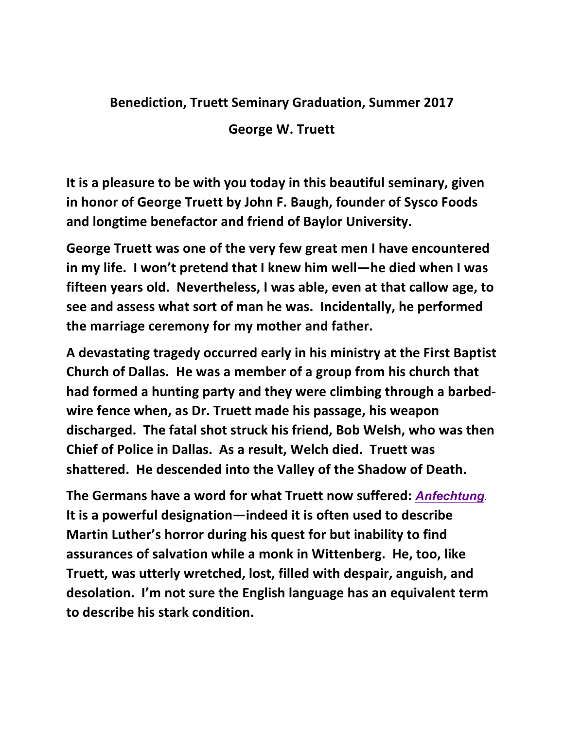## **Benediction, Truett Seminary Graduation, Summer 2017**

George W. Truett

It is a pleasure to be with you today in this beautiful seminary, given in honor of George Truett by John F. Baugh, founder of Sysco Foods and longtime benefactor and friend of Baylor University.

George Truett was one of the very few great men I have encountered in my life. I won't pretend that I knew him well—he died when I was **fifteen years old. Nevertheless, I was able, even at that callow age, to** see and assess what sort of man he was. Incidentally, he performed the marriage ceremony for my mother and father.

**A devastating tragedy occurred early in his ministry at the First Baptist**  Church of Dallas. He was a member of a group from his church that had formed a hunting party and they were climbing through a barbedwire fence when, as Dr. Truett made his passage, his weapon discharged. The fatal shot struck his friend, Bob Welsh, who was then **Chief of Police in Dallas. As a result, Welch died. Truett was** shattered. He descended into the Valley of the Shadow of Death.

**The Germans have a word for what Truett now suffered: Anfechtung.** It is a powerful designation—indeed it is often used to describe **Martin Luther's horror during his quest for but inability to find** assurances of salvation while a monk in Wittenberg. He, too, like Truett, was utterly wretched, lost, filled with despair, anguish, and desolation. I'm not sure the English language has an equivalent term **to describe his stark condition.**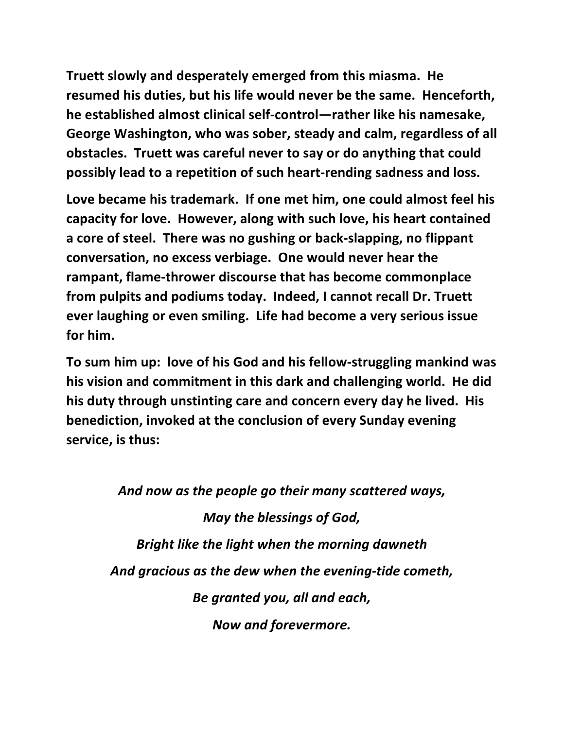Truett slowly and desperately emerged from this miasma. He resumed his duties, but his life would never be the same. Henceforth, he established almost clinical self-control—rather like his namesake, George Washington, who was sober, steady and calm, regardless of all **obstacles.** Truett was careful never to say or do anything that could **possibly lead to a repetition of such heart-rending sadness and loss.** 

Love became his trademark. If one met him, one could almost feel his capacity for love. However, along with such love, his heart contained a core of steel. There was no gushing or back-slapping, no flippant conversation, no excess verbiage. One would never hear the rampant, flame-thrower discourse that has become commonplace from pulpits and podiums today. Indeed, I cannot recall Dr. Truett ever laughing or even smiling. Life had become a very serious issue for him.

To sum him up: love of his God and his fellow-struggling mankind was his vision and commitment in this dark and challenging world. He did his duty through unstinting care and concern every day he lived. His **benediction, invoked at the conclusion of every Sunday evening** service, is thus:

And now as the people go their many scattered ways, *May the blessings of God,* **Bright like the light when the morning dawneth** And gracious as the dew when the evening-tide cometh, *Be granted you, all and each, Now and forevermore.*